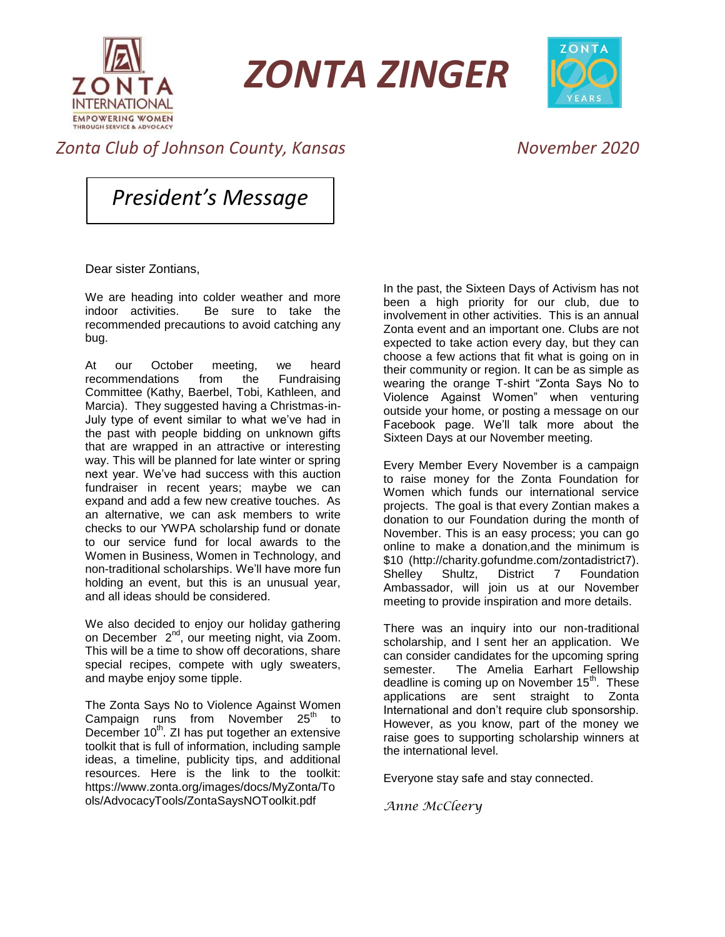

*ZONTA ZINGER*



## *Zonta Club of Johnson County, Kansas November 2020*

*President's Message*

Dear sister Zontians,

We are heading into colder weather and more indoor activities. Be sure to take the recommended precautions to avoid catching any bug.

At our October meeting, we heard recommendations from the Fundraising Committee (Kathy, Baerbel, Tobi, Kathleen, and Marcia). They suggested having a Christmas-in-July type of event similar to what we've had in the past with people bidding on unknown gifts that are wrapped in an attractive or interesting way. This will be planned for late winter or spring next year. We've had success with this auction fundraiser in recent years; maybe we can expand and add a few new creative touches. As an alternative, we can ask members to write checks to our YWPA scholarship fund or donate to our service fund for local awards to the Women in Business, Women in Technology, and non-traditional scholarships. We'll have more fun holding an event, but this is an unusual year, and all ideas should be considered.

We also decided to enjoy our holiday gathering on December 2<sup>nd</sup>, our meeting night, via Zoom. This will be a time to show off decorations, share special recipes, compete with ugly sweaters, and maybe enjoy some tipple.

The Zonta Says No to Violence Against Women Campaign runs from November 25<sup>th</sup> to December 10<sup>th</sup>. ZI has put together an extensive toolkit that is full of information, including sample ideas, a timeline, publicity tips, and additional resources. Here is the link to the toolkit: https://www.zonta.org/images/docs/MyZonta/To ols/AdvocacyTools/ZontaSaysNOToolkit.pdf

In the past, the Sixteen Days of Activism has not been a high priority for our club, due to involvement in other activities. This is an annual Zonta event and an important one. Clubs are not expected to take action every day, but they can choose a few actions that fit what is going on in their community or region. It can be as simple as wearing the orange T-shirt "Zonta Says No to Violence Against Women" when venturing outside your home, or posting a message on our Facebook page. We'll talk more about the Sixteen Days at our November meeting.

Every Member Every November is a campaign to raise money for the Zonta Foundation for Women which funds our international service projects. The goal is that every Zontian makes a donation to our Foundation during the month of November. This is an easy process; you can go online to make a donation,and the minimum is \$10 (http://charity.gofundme.com/zontadistrict7). Shelley Shultz, District 7 Foundation Ambassador, will join us at our November meeting to provide inspiration and more details.

There was an inquiry into our non-traditional scholarship, and I sent her an application. We can consider candidates for the upcoming spring semester. The Amelia Earhart Fellowship deadline is coming up on November  $15<sup>th</sup>$ . These applications are sent straight to Zonta International and don't require club sponsorship. However, as you know, part of the money we raise goes to supporting scholarship winners at the international level.

Everyone stay safe and stay connected.

*Anne McCleery*